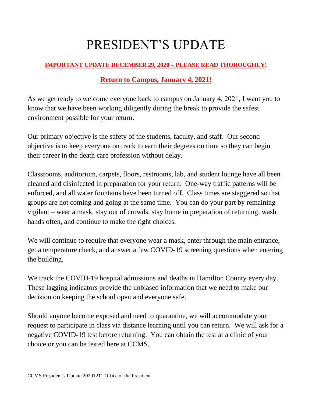## PRESIDENT'S UPDATE

## **IMPORTANT UPDATE DECEMBER 29, 2020 – PLEASE READ THOROUGHLY!**

## **Return to Campus, January 4, 2021!**

As we get ready to welcome everyone back to campus on January 4, 2021, I want you to know that we have been working diligently during the break to provide the safest environment possible for your return.

Our primary objective is the safety of the students, faculty, and staff. Our second objective is to keep everyone on track to earn their degrees on time so they can begin their career in the death care profession without delay.

Classrooms, auditorium, carpets, floors, restrooms, lab, and student lounge have all been cleaned and disinfected in preparation for your return. One-way traffic patterns will be enforced, and all water fountains have been turned off. Class times are staggered so that groups are not coming and going at the same time. You can do your part by remaining vigilant – wear a mask, stay out of crowds, stay home in preparation of returning, wash hands often, and continue to make the right choices.

We will continue to require that everyone wear a mask, enter through the main entrance, get a temperature check, and answer a few COVID-19 screening questions when entering the building.

We track the COVID-19 hospital admissions and deaths in Hamilton County every day. These lagging indicators provide the unbiased information that we need to make our decision on keeping the school open and everyone safe.

Should anyone become exposed and need to quarantine, we will accommodate your request to participate in class via distance learning until you can return. We will ask for a negative COVID-19 test before returning. You can obtain the test at a clinic of your choice or you can be tested here at CCMS.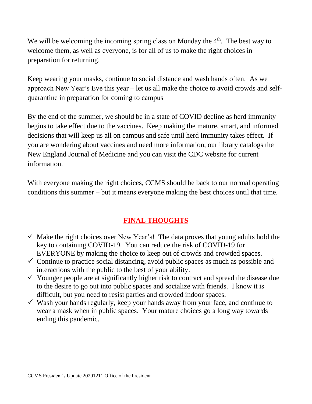We will be welcoming the incoming spring class on Monday the  $4<sup>th</sup>$ . The best way to welcome them, as well as everyone, is for all of us to make the right choices in preparation for returning.

Keep wearing your masks, continue to social distance and wash hands often. As we approach New Year's Eve this year – let us all make the choice to avoid crowds and selfquarantine in preparation for coming to campus

By the end of the summer, we should be in a state of COVID decline as herd immunity begins to take effect due to the vaccines. Keep making the mature, smart, and informed decisions that will keep us all on campus and safe until herd immunity takes effect. If you are wondering about vaccines and need more information, our library catalogs the New England Journal of Medicine and you can visit the CDC website for current information.

With everyone making the right choices, CCMS should be back to our normal operating conditions this summer – but it means everyone making the best choices until that time.

## **FINAL THOUGHTS**

- $\checkmark$  Make the right choices over New Year's! The data proves that young adults hold the key to containing COVID-19. You can reduce the risk of COVID-19 for EVERYONE by making the choice to keep out of crowds and crowded spaces.
- $\checkmark$  Continue to practice social distancing, avoid public spaces as much as possible and interactions with the public to the best of your ability.
- $\checkmark$  Younger people are at significantly higher risk to contract and spread the disease due to the desire to go out into public spaces and socialize with friends. I know it is difficult, but you need to resist parties and crowded indoor spaces.
- $\checkmark$  Wash your hands regularly, keep your hands away from your face, and continue to wear a mask when in public spaces. Your mature choices go a long way towards ending this pandemic.